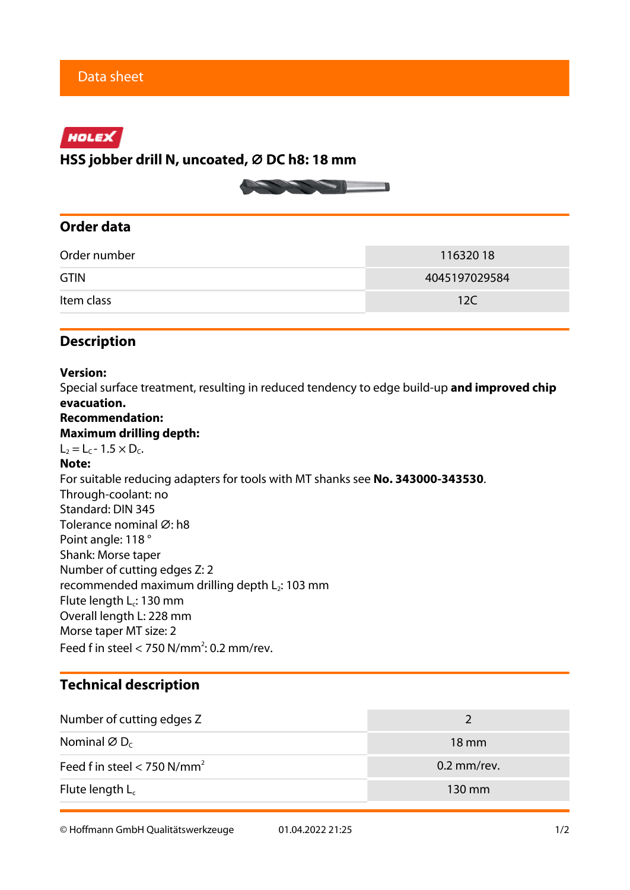## HOLEX

**HSS jobber drill N, uncoated, ⌀ DC h8: 18 mm**



## **Order data**

| Order number | 11632018      |  |  |
|--------------|---------------|--|--|
| <b>GTIN</b>  | 4045197029584 |  |  |
| Item class   | 12C           |  |  |

## **Description**

### **Version:**

Special surface treatment, resulting in reduced tendency to edge build-up **and improved chip evacuation.**

## **Recommendation:**

#### **Maximum drilling depth:**

 $L_2 = L_C - 1.5 \times D_C$ .

#### **Note:**

For suitable reducing adapters for tools with MT shanks see **No. 343000-343530**. Through-coolant: no Standard: DIN 345 Tolerance nominal Ø: h8 Point angle: 118 ° Shank: Morse taper Number of cutting edges Z: 2 recommended maximum drilling depth  $L_2$ : 103 mm Flute length L<sub>c</sub>: 130 mm Overall length L: 228 mm Morse taper MT size: 2 Feed f in steel  $<$  750 N/mm<sup>2</sup>: 0.2 mm/rev.

## **Technical description**

| Number of cutting edges Z                 |                 |  |
|-------------------------------------------|-----------------|--|
| Nominal $\varnothing$ D <sub>c</sub>      | $18 \text{ mm}$ |  |
| Feed f in steel $<$ 750 N/mm <sup>2</sup> | $0.2$ mm/rev.   |  |
| Flute length $L_c$                        | 130 mm          |  |

© Hoffmann GmbH Qualitätswerkzeuge 01.04.2022 21:25 1/2